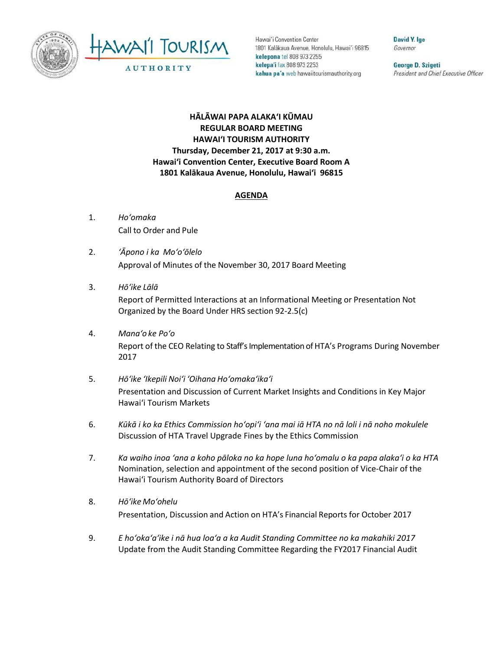



Hawai'i Convention Center 1801 Kalakaua Avenue, Honolulu, Hawai'i 96815 kelepona tel 808 973 2255 kelepa'i fax 808 973 2253 kahua pa'a web hawaiitourismauthority.org

David Y. Ige Governor

George D. Szigeti President and Chief Executive Officer

## **HĀLĀWAI PAPA ALAKAʻI KŪMAU REGULAR BOARD MEETING HAWAI'I TOURISM AUTHORITY Thursday, December 21, 2017 at 9:30 a.m. Hawai'i Convention Center, Executive Board Room A 1801 Kalākaua Avenue, Honolulu, Hawai'i 96815**

## **AGENDA**

- 1. *Ho'omaka* Call to Order and Pule
- 2. *ʻĀpono i ka Mo'o'ōlelo* Approval of Minutes of the November 30, 2017 Board Meeting
- 3. *Hō'ike Lālā*

Report of Permitted Interactions at an Informational Meeting or Presentation Not Organized by the Board Under HRS section 92-2.5(c)

- 4. *Mana'o ke Poʻo* Report of the CEO Relating to Staff's Implementation of HTA's Programs During November 2017
- 5. *Hō'ike 'Ikepili Noi'i 'Oihana Ho'omaka'ika'i* Presentation and Discussion of Current Market Insights and Conditions in Key Major Hawai'i Tourism Markets
- 6. *Kūkā i ko ka Ethics Commission hoʻopiʻi ʻana mai iā HTA no nā loli i nā noho mokulele* Discussion of HTA Travel Upgrade Fines by the Ethics Commission
- 7. *Ka waiho inoa ʻana a koho pāloka no ka hope luna hoʻomalu o ka papa alakaʻi o ka HTA* Nomination, selection and appointment of the second position of Vice-Chair of the Hawai'i Tourism Authority Board of Directors
- 8. *Hō'ike Mo'ohelu* Presentation, Discussion and Action on HTA's Financial Reports for October 2017
- 9. *E hoʻokaʻaʻike i nā hua loaʻa a ka Audit Standing Committee no ka makahiki 2017* Update from the Audit Standing Committee Regarding the FY2017 Financial Audit